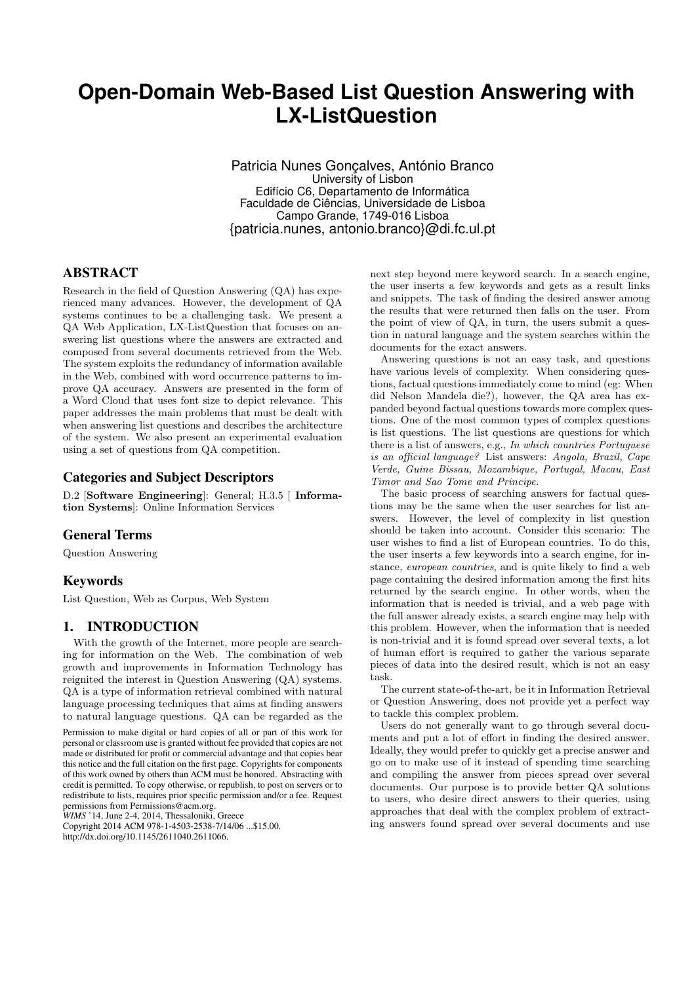# **Open-Domain Web-Based List Question Answering with LX-ListQuestion**

Patricia Nunes Gonçalves, António Branco University of Lisbon Edifício C6, Departamento de Informática Faculdade de Ciências, Universidade de Lisboa Campo Grande, 1749-016 Lisboa {patricia.nunes, antonio.branco}@di.fc.ul.pt

# ABSTRACT

Research in the field of Question Answering (QA) has experienced many advances. However, the development of QA systems continues to be a challenging task. We present a QA Web Application, LX-ListQuestion that focuses on answering list questions where the answers are extracted and composed from several documents retrieved from the Web. The system exploits the redundancy of information available in the Web, combined with word occurrence patterns to improve QA accuracy. Answers are presented in the form of a Word Cloud that uses font size to depict relevance. This paper addresses the main problems that must be dealt with when answering list questions and describes the architecture of the system. We also present an experimental evaluation using a set of questions from QA competition.

#### Categories and Subject Descriptors

D.2 [Software Engineering]: General; H.3.5 [ Information Systems]: Online Information Services

# General Terms

Question Answering

# Keywords

List Question, Web as Corpus, Web System

#### 1. INTRODUCTION

With the growth of the Internet, more people are searching for information on the Web. The combination of web growth and improvements in Information Technology has reignited the interest in Question Answering (QA) systems. QA is a type of information retrieval combined with natural language processing techniques that aims at finding answers to natural language questions. QA can be regarded as the

Permission to make digital or hard copies of all or part of this work for personal or classroom use is granted without fee provided that copies are not made or distributed for profit or commercial advantage and that copies bear this notice and the full citation on the first page. Copyrights for components of this work owned by others than ACM must be honored. Abstracting with credit is permitted. To copy otherwise, or republish, to post on servers or to redistribute to lists, requires prior specific permission and/or a fee. Request permissions from Permissions@acm.org.

*WIMS* '14, June 2-4, 2014, Thessaloniki, Greece

Copyright 2014 ACM 978-1-4503-2538-7/14/06 ...\$15.00. http://dx.doi.org/10.1145/2611040.2611066.

next step beyond mere keyword search. In a search engine, the user inserts a few keywords and gets as a result links and snippets. The task of finding the desired answer among the results that were returned then falls on the user. From the point of view of QA, in turn, the users submit a question in natural language and the system searches within the documents for the exact answers.

Answering questions is not an easy task, and questions have various levels of complexity. When considering questions, factual questions immediately come to mind (eg: When did Nelson Mandela die?), however, the QA area has expanded beyond factual questions towards more complex questions. One of the most common types of complex questions is list questions. The list questions are questions for which there is a list of answers, e.g., In which countries Portuguese is an official language? List answers: Angola, Brazil, Cape Verde, Guine Bissau, Mozambique, Portugal, Macau, East Timor and Sao Tome and Principe.

The basic process of searching answers for factual questions may be the same when the user searches for list answers. However, the level of complexity in list question should be taken into account. Consider this scenario: The user wishes to find a list of European countries. To do this, the user inserts a few keywords into a search engine, for instance, european countries, and is quite likely to find a web page containing the desired information among the first hits returned by the search engine. In other words, when the information that is needed is trivial, and a web page with the full answer already exists, a search engine may help with this problem. However, when the information that is needed is non-trivial and it is found spread over several texts, a lot of human effort is required to gather the various separate pieces of data into the desired result, which is not an easy task.

The current state-of-the-art, be it in Information Retrieval or Question Answering, does not provide yet a perfect way to tackle this complex problem.

Users do not generally want to go through several documents and put a lot of effort in finding the desired answer. Ideally, they would prefer to quickly get a precise answer and go on to make use of it instead of spending time searching and compiling the answer from pieces spread over several documents. Our purpose is to provide better QA solutions to users, who desire direct answers to their queries, using approaches that deal with the complex problem of extracting answers found spread over several documents and use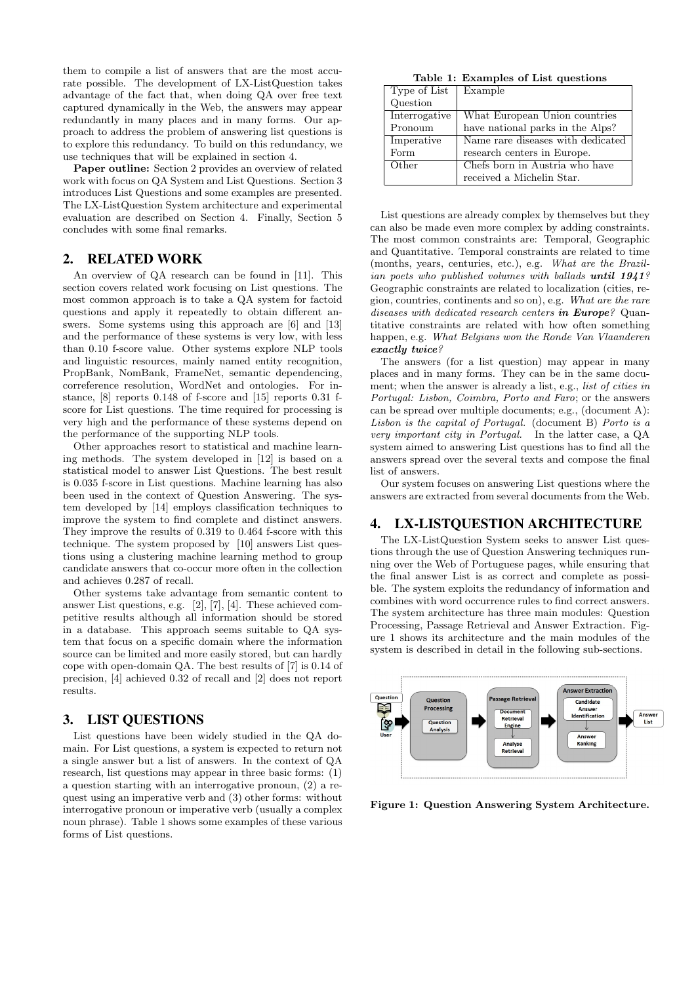them to compile a list of answers that are the most accurate possible. The development of LX-ListQuestion takes advantage of the fact that, when doing QA over free text captured dynamically in the Web, the answers may appear redundantly in many places and in many forms. Our approach to address the problem of answering list questions is to explore this redundancy. To build on this redundancy, we use techniques that will be explained in section 4.

Paper outline: Section 2 provides an overview of related work with focus on QA System and List Questions. Section 3 introduces List Questions and some examples are presented. The LX-ListQuestion System architecture and experimental evaluation are described on Section 4. Finally, Section 5 concludes with some final remarks.

# 2. RELATED WORK

An overview of QA research can be found in [11]. This section covers related work focusing on List questions. The most common approach is to take a QA system for factoid questions and apply it repeatedly to obtain different answers. Some systems using this approach are [6] and [13] and the performance of these systems is very low, with less than 0.10 f-score value. Other systems explore NLP tools and linguistic resources, mainly named entity recognition, PropBank, NomBank, FrameNet, semantic dependencing, correference resolution, WordNet and ontologies. For instance, [8] reports 0.148 of f-score and [15] reports 0.31 fscore for List questions. The time required for processing is very high and the performance of these systems depend on the performance of the supporting NLP tools.

Other approaches resort to statistical and machine learning methods. The system developed in [12] is based on a statistical model to answer List Questions. The best result is 0.035 f-score in List questions. Machine learning has also been used in the context of Question Answering. The system developed by [14] employs classification techniques to improve the system to find complete and distinct answers. They improve the results of 0.319 to 0.464 f-score with this technique. The system proposed by [10] answers List questions using a clustering machine learning method to group candidate answers that co-occur more often in the collection and achieves 0.287 of recall.

Other systems take advantage from semantic content to answer List questions, e.g. [2], [7], [4]. These achieved competitive results although all information should be stored in a database. This approach seems suitable to QA system that focus on a specific domain where the information source can be limited and more easily stored, but can hardly cope with open-domain QA. The best results of [7] is 0.14 of precision, [4] achieved 0.32 of recall and [2] does not report results.

# 3. LIST QUESTIONS

List questions have been widely studied in the QA domain. For List questions, a system is expected to return not a single answer but a list of answers. In the context of QA research, list questions may appear in three basic forms: (1) a question starting with an interrogative pronoun, (2) a request using an imperative verb and (3) other forms: without interrogative pronoun or imperative verb (usually a complex noun phrase). Table 1 shows some examples of these various forms of List questions.

Table 1: Examples of List questions

| Type of List  | Example                           |
|---------------|-----------------------------------|
| Question      |                                   |
| Interrogative | What European Union countries     |
| Pronoum       | have national parks in the Alps?  |
| Imperative    | Name rare diseases with dedicated |
| Form          | research centers in Europe.       |
| Other         | Chefs born in Austria who have    |
|               | received a Michelin Star.         |

List questions are already complex by themselves but they can also be made even more complex by adding constraints. The most common constraints are: Temporal, Geographic and Quantitative. Temporal constraints are related to time (months, years, centuries, etc.), e.g. What are the Brazilian poets who published volumes with ballads until 1941? Geographic constraints are related to localization (cities, region, countries, continents and so on), e.g. What are the rare diseases with dedicated research centers in Europe? Quantitative constraints are related with how often something happen, e.g. What Belgians won the Ronde Van Vlaanderen exactly twice?

The answers (for a list question) may appear in many places and in many forms. They can be in the same document; when the answer is already a list, e.g., *list of cities in* Portugal: Lisbon, Coimbra, Porto and Faro; or the answers can be spread over multiple documents; e.g., (document A): Lisbon is the capital of Portugal. (document B) Porto is a very important city in Portugal. In the latter case, a QA system aimed to answering List questions has to find all the answers spread over the several texts and compose the final list of answers.

Our system focuses on answering List questions where the answers are extracted from several documents from the Web.

#### 4. LX-LISTQUESTION ARCHITECTURE

The LX-ListQuestion System seeks to answer List questions through the use of Question Answering techniques running over the Web of Portuguese pages, while ensuring that the final answer List is as correct and complete as possible. The system exploits the redundancy of information and combines with word occurrence rules to find correct answers. The system architecture has three main modules: Question Processing, Passage Retrieval and Answer Extraction. Figure 1 shows its architecture and the main modules of the system is described in detail in the following sub-sections.



Figure 1: Question Answering System Architecture.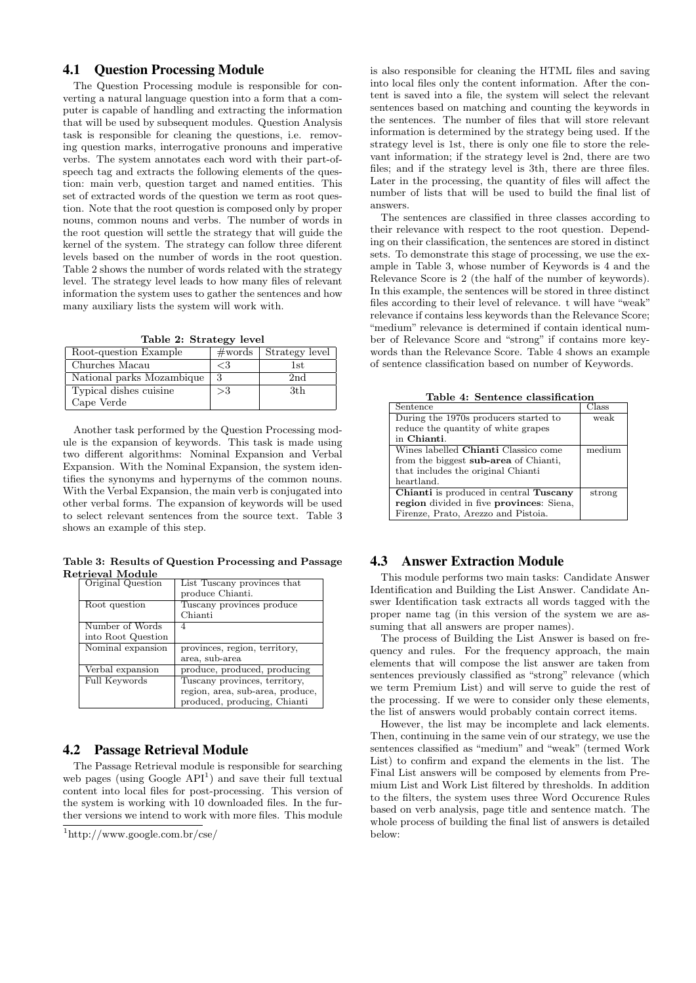#### 4.1 Question Processing Module

The Question Processing module is responsible for converting a natural language question into a form that a computer is capable of handling and extracting the information that will be used by subsequent modules. Question Analysis task is responsible for cleaning the questions, i.e. removing question marks, interrogative pronouns and imperative verbs. The system annotates each word with their part-ofspeech tag and extracts the following elements of the question: main verb, question target and named entities. This set of extracted words of the question we term as root question. Note that the root question is composed only by proper nouns, common nouns and verbs. The number of words in the root question will settle the strategy that will guide the kernel of the system. The strategy can follow three diferent levels based on the number of words in the root question. Table 2 shows the number of words related with the strategy level. The strategy level leads to how many files of relevant information the system uses to gather the sentences and how many auxiliary lists the system will work with.

Table 2: Strategy level

|                           | . .              |                 |
|---------------------------|------------------|-----------------|
| Root-question Example     | $\#\text{words}$ | Strategy level  |
| Churches Macau            | <3               | 1st             |
| National parks Mozambique | 3                | 2 <sub>nd</sub> |
| Typical dishes cuisine    | ${>}3$           | 3th             |
| Cape Verde                |                  |                 |

Another task performed by the Question Processing module is the expansion of keywords. This task is made using two different algorithms: Nominal Expansion and Verbal Expansion. With the Nominal Expansion, the system identifies the synonyms and hypernyms of the common nouns. With the Verbal Expansion, the main verb is conjugated into other verbal forms. The expansion of keywords will be used to select relevant sentences from the source text. Table 3 shows an example of this step.

Table 3: Results of Question Processing and Passage Retrieval Module

| List Tuscany provinces that      |
|----------------------------------|
| produce Chianti.                 |
| Tuscany provinces produce        |
| Chianti                          |
|                                  |
|                                  |
| provinces, region, territory,    |
| area, sub-area                   |
| produce, produced, producing     |
| Tuscany provinces, territory,    |
| region, area, sub-area, produce, |
| produced, producing, Chianti     |
|                                  |

# 4.2 Passage Retrieval Module

The Passage Retrieval module is responsible for searching web pages (using Google  $API<sup>1</sup>$ ) and save their full textual content into local files for post-processing. This version of the system is working with 10 downloaded files. In the further versions we intend to work with more files. This module

is also responsible for cleaning the HTML files and saving into local files only the content information. After the content is saved into a file, the system will select the relevant sentences based on matching and counting the keywords in the sentences. The number of files that will store relevant information is determined by the strategy being used. If the strategy level is 1st, there is only one file to store the relevant information; if the strategy level is 2nd, there are two files; and if the strategy level is 3th, there are three files. Later in the processing, the quantity of files will affect the number of lists that will be used to build the final list of answers.

The sentences are classified in three classes according to their relevance with respect to the root question. Depending on their classification, the sentences are stored in distinct sets. To demonstrate this stage of processing, we use the example in Table 3, whose number of Keywords is 4 and the Relevance Score is 2 (the half of the number of keywords). In this example, the sentences will be stored in three distinct files according to their level of relevance. t will have "weak" relevance if contains less keywords than the Relevance Score; "medium" relevance is determined if contain identical number of Relevance Score and "strong" if contains more keywords than the Relevance Score. Table 4 shows an example of sentence classification based on number of Keywords.

Table 4: Sentence classification

| Sentence                                    | Class  |
|---------------------------------------------|--------|
| During the 1970s producers started to       | weak   |
| reduce the quantity of white grapes         |        |
| in Chianti.                                 |        |
| Wines labelled <b>Chianti</b> Classico come | medium |
| from the biggest sub-area of Chianti,       |        |
| that includes the original Chianti          |        |
| heartland.                                  |        |
| Chianti is produced in central Tuscany      | strong |
| region divided in five provinces: Siena,    |        |
| Firenze, Prato, Arezzo and Pistoia.         |        |

# 4.3 Answer Extraction Module

This module performs two main tasks: Candidate Answer Identification and Building the List Answer. Candidate Answer Identification task extracts all words tagged with the proper name tag (in this version of the system we are assuming that all answers are proper names).

The process of Building the List Answer is based on frequency and rules. For the frequency approach, the main elements that will compose the list answer are taken from sentences previously classified as "strong" relevance (which we term Premium List) and will serve to guide the rest of the processing. If we were to consider only these elements, the list of answers would probably contain correct items.

However, the list may be incomplete and lack elements. Then, continuing in the same vein of our strategy, we use the sentences classified as "medium" and "weak" (termed Work List) to confirm and expand the elements in the list. The Final List answers will be composed by elements from Premium List and Work List filtered by thresholds. In addition to the filters, the system uses three Word Occurence Rules based on verb analysis, page title and sentence match. The whole process of building the final list of answers is detailed below:

<sup>1</sup>http://www.google.com.br/cse/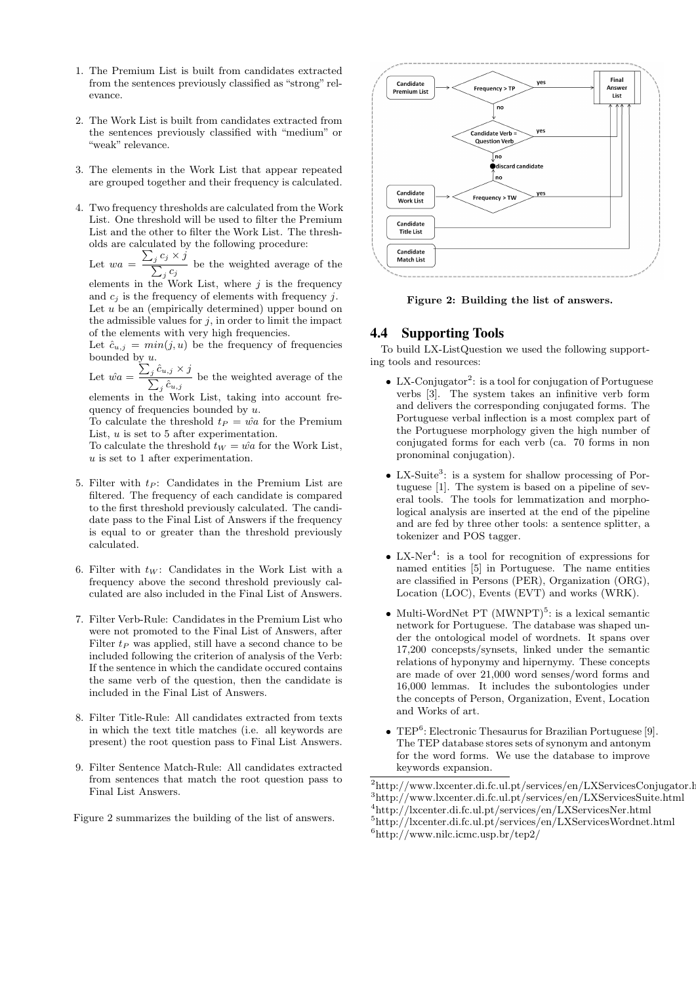- 1. The Premium List is built from candidates extracted from the sentences previously classified as "strong" relevance.
- 2. The Work List is built from candidates extracted from the sentences previously classified with "medium" or "weak" relevance.
- 3. The elements in the Work List that appear repeated are grouped together and their frequency is calculated.
- 4. Two frequency thresholds are calculated from the Work List. One threshold will be used to filter the Premium List and the other to filter the Work List. The thresholds are calculated by the following procedure:

Let  $wa = \frac{\sum_j c_j \times j}{\sum_j}$  $\frac{\sum_j f_j}{\sum_j c_j}$  be the weighted average of the elements in the Work List, where  $j$  is the frequency and  $c_j$  is the frequency of elements with frequency j. Let  $u$  be an (empirically determined) upper bound on the admissible values for  $j$ , in order to limit the impact of the elements with very high frequencies.

Let  $\hat{c}_{u,j} = min(j, u)$  be the frequency of frequencies bounded by  $u$ .

Let  $\hat{wa} = \frac{\sum_j \hat{c}_{u,j} \times j}{\sum_j \hat{c}_{u,j}}$  $\frac{\sum_{j} a_{ij} - a_{ij}}{\sum_{j} a_{ij}}$  be the weighted average of the

elements in the Work List, taking into account frequency of frequencies bounded by u.

To calculate the threshold  $t_P = w\hat{a}$  for the Premium List,  $u$  is set to 5 after experimentation.

To calculate the threshold  $t_W = w\hat{a}$  for the Work List, u is set to 1 after experimentation.

- 5. Filter with  $t_P$ : Candidates in the Premium List are filtered. The frequency of each candidate is compared to the first threshold previously calculated. The candidate pass to the Final List of Answers if the frequency is equal to or greater than the threshold previously calculated.
- 6. Filter with  $t_W$ : Candidates in the Work List with a frequency above the second threshold previously calculated are also included in the Final List of Answers.
- 7. Filter Verb-Rule: Candidates in the Premium List who were not promoted to the Final List of Answers, after Filter  $t_P$  was applied, still have a second chance to be included following the criterion of analysis of the Verb: If the sentence in which the candidate occured contains the same verb of the question, then the candidate is included in the Final List of Answers.
- 8. Filter Title-Rule: All candidates extracted from texts in which the text title matches (i.e. all keywords are present) the root question pass to Final List Answers.
- 9. Filter Sentence Match-Rule: All candidates extracted from sentences that match the root question pass to Final List Answers.

Figure 2 summarizes the building of the list of answers.



Figure 2: Building the list of answers.

# 4.4 Supporting Tools

To build LX-ListQuestion we used the following supporting tools and resources:

- $\bullet$  LX-Conjugator<sup>2</sup>: is a tool for conjugation of Portuguese verbs [3]. The system takes an infinitive verb form and delivers the corresponding conjugated forms. The Portuguese verbal inflection is a most complex part of the Portuguese morphology given the high number of conjugated forms for each verb (ca. 70 forms in non pronominal conjugation).
- LX-Suite<sup>3</sup>: is a system for shallow processing of Portuguese [1]. The system is based on a pipeline of several tools. The tools for lemmatization and morphological analysis are inserted at the end of the pipeline and are fed by three other tools: a sentence splitter, a tokenizer and POS tagger.
- $\bullet$  LX-Ner<sup>4</sup>: is a tool for recognition of expressions for named entities [5] in Portuguese. The name entities are classified in Persons (PER), Organization (ORG), Location (LOC), Events (EVT) and works (WRK).
- Multi-WordNet PT  $(MWNPT)^5$ : is a lexical semantic network for Portuguese. The database was shaped under the ontological model of wordnets. It spans over 17,200 concepsts/synsets, linked under the semantic relations of hyponymy and hipernymy. These concepts are made of over 21,000 word senses/word forms and 16,000 lemmas. It includes the subontologies under the concepts of Person, Organization, Event, Location and Works of art.
- TEP<sup>6</sup>: Electronic Thesaurus for Brazilian Portuguese [9]. The TEP database stores sets of synonym and antonym for the word forms. We use the database to improve keywords expansion.

 $^{2}$ http://www.lxcenter.di.fc.ul.pt/services/en/LXServicesConjugator.html  $^3$ http://www.lxcenter.di.fc.ul.pt/services/en/LXServicesSuite.html <sup>4</sup>http://lxcenter.di.fc.ul.pt/services/en/LXServicesNer.html

<sup>5</sup>http://lxcenter.di.fc.ul.pt/services/en/LXServicesWordnet.html

 $6$ http://www.nilc.icmc.usp.br/tep2/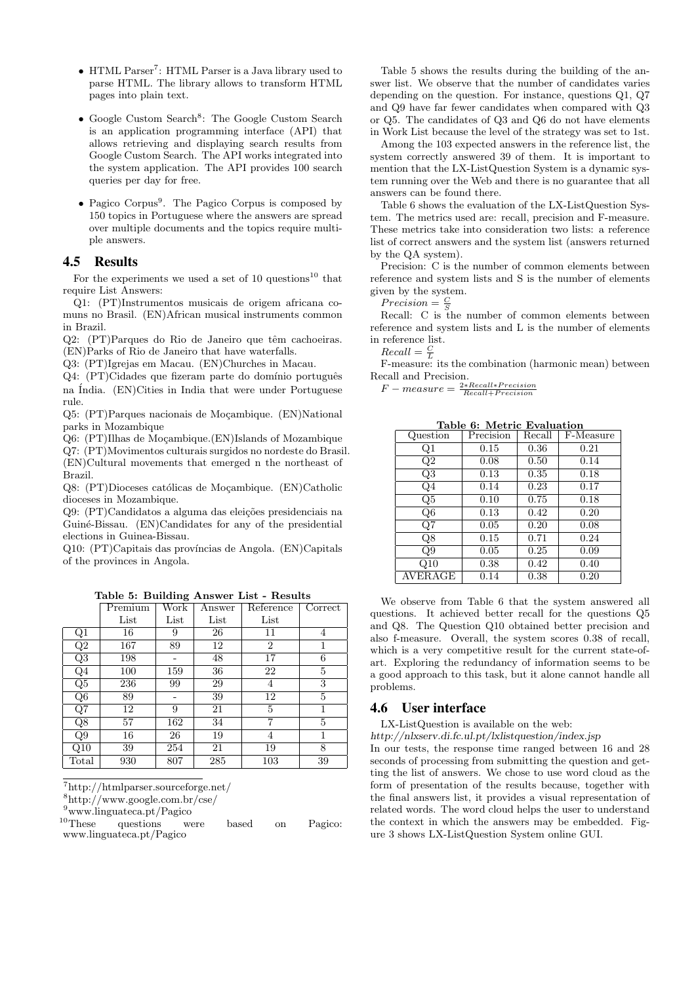- $\bullet$  HTML Parser<sup>7</sup>: HTML Parser is a Java library used to parse HTML. The library allows to transform HTML pages into plain text.
- Google Custom Search<sup>8</sup>: The Google Custom Search is an application programming interface (API) that allows retrieving and displaying search results from Google Custom Search. The API works integrated into the system application. The API provides 100 search queries per day for free.
- Pagico Corpus<sup>9</sup>. The Pagico Corpus is composed by 150 topics in Portuguese where the answers are spread over multiple documents and the topics require multiple answers.

#### 4.5 Results

For the experiments we used a set of 10 questions<sup>10</sup> that require List Answers:

Q1: (PT)Instrumentos musicais de origem africana comuns no Brasil. (EN)African musical instruments common in Brazil.

Q2: (PT)Parques do Rio de Janeiro que têm cachoeiras. (EN)Parks of Rio de Janeiro that have waterfalls.

Q3: (PT)Igrejas em Macau. (EN)Churches in Macau.

Q4: (PT)Cidades que fizeram parte do domínio português na Índia. (EN)Cities in India that were under Portuguese rule.

Q5: (PT)Parques nacionais de Moçambique. (EN)National parks in Mozambique

Q6: (PT)Ilhas de Moçambique.(EN)Islands of Mozambique Q7: (PT)Movimentos culturais surgidos no nordeste do Brasil. (EN)Cultural movements that emerged n the northeast of Brazil.

Q8: (PT)Dioceses católicas de Moçambique. (EN)Catholic dioceses in Mozambique.

Q9: (PT)Candidatos a alguma das eleições presidenciais na Guiné-Bissau. (EN)Candidates for any of the presidential elections in Guinea-Bissau.

Q10: (PT)Capitais das províncias de Angola. (EN)Capitals of the provinces in Angola.

|                | Premium | Work          | Answer | Reference      | Correct |
|----------------|---------|---------------|--------|----------------|---------|
|                | List    | $_{\rm List}$ | List   | List           |         |
| Q1             | 16      | 9             | 26     | 11             | 4       |
| $\mathrm{Q}2$  | 167     | 89            | 12     | $\overline{2}$ | 1       |
| Q3             | 198     |               | 48     | 17             | 6       |
| Q4             | 100     | 159           | 36     | 22             | 5       |
| Q5             | 236     | 99            | 29     | 4              | 3       |
| Q6             | 89      |               | 39     | 12             | 5       |
| Q7             | 12      | 9             | 21     | 5              | 1       |
| Q8             | 57      | 162           | 34     | 7              | 5       |
| Q9             | 16      | 26            | 19     | 4              | 1       |
| Q10            | 39      | 254           | 21     | 19             | 8       |
| $_{\rm Total}$ | 930     | 807           | 285    | 103            | 39      |

Table 5: Building Answer List - Results

<sup>7</sup>http://htmlparser.sourceforge.net/

<sup>8</sup>http://www.google.com.br/cse/

 $^{9}$ www.linguateca.pt/Pagico<br><sup>10</sup>These questions we questions were based on Pagico: www.linguateca.pt/Pagico

Table 5 shows the results during the building of the answer list. We observe that the number of candidates varies depending on the question. For instance, questions Q1, Q7 and Q9 have far fewer candidates when compared with Q3 or Q5. The candidates of Q3 and Q6 do not have elements in Work List because the level of the strategy was set to 1st.

Among the 103 expected answers in the reference list, the system correctly answered 39 of them. It is important to mention that the LX-ListQuestion System is a dynamic system running over the Web and there is no guarantee that all answers can be found there.

Table 6 shows the evaluation of the LX-ListQuestion System. The metrics used are: recall, precision and F-measure. These metrics take into consideration two lists: a reference list of correct answers and the system list (answers returned by the QA system).

Precision: C is the number of common elements between reference and system lists and S is the number of elements given by the system.

 $Precision = \frac{C}{S}$ 

Recall: C is the number of common elements between reference and system lists and L is the number of elements in reference list.

 $Recall = \frac{C}{L}$ 

F-measure: its the combination (harmonic mean) between Recall and Precision.

 $F-measure = \frac{2*Recall*Precision}{Recall+Precision}$ 

| Taple o: Metric Evaluation |           |        |           |  |  |
|----------------------------|-----------|--------|-----------|--|--|
| Question                   | Precision | Recall | F-Measure |  |  |
| Q1                         | 0.15      | 0.36   | 0.21      |  |  |
| $\mathrm{Q}2$              | 0.08      | 0.50   | 0.14      |  |  |
| Q3                         | 0.13      | 0.35   | 0.18      |  |  |
| Q4                         | 0.14      | 0.23   | 0.17      |  |  |
| Q5                         | 0.10      | 0.75   | 0.18      |  |  |
| Q6                         | 0.13      | 0.42   | 0.20      |  |  |
| Q7                         | 0.05      | 0.20   | 0.08      |  |  |
| Q8                         | 0.15      | 0.71   | 0.24      |  |  |
| Q9                         | 0.05      | 0.25   | 0.09      |  |  |
| $\rm Q10$                  | 0.38      | 0.42   | 0.40      |  |  |
| AVERAGE                    | 0.14      | 0.38   | 0.20      |  |  |

 $T = L1 - C$ . Metric Eva

We observe from Table 6 that the system answered all questions. It achieved better recall for the questions Q5 and Q8. The Question Q10 obtained better precision and also f-measure. Overall, the system scores 0.38 of recall, which is a very competitive result for the current state-ofart. Exploring the redundancy of information seems to be a good approach to this task, but it alone cannot handle all problems.

# 4.6 User interface

LX-ListQuestion is available on the web:

http://nlxserv.di.fc.ul.pt/lxlistquestion/index.jsp

In our tests, the response time ranged between 16 and 28 seconds of processing from submitting the question and getting the list of answers. We chose to use word cloud as the form of presentation of the results because, together with the final answers list, it provides a visual representation of related words. The word cloud helps the user to understand the context in which the answers may be embedded. Figure 3 shows LX-ListQuestion System online GUI.